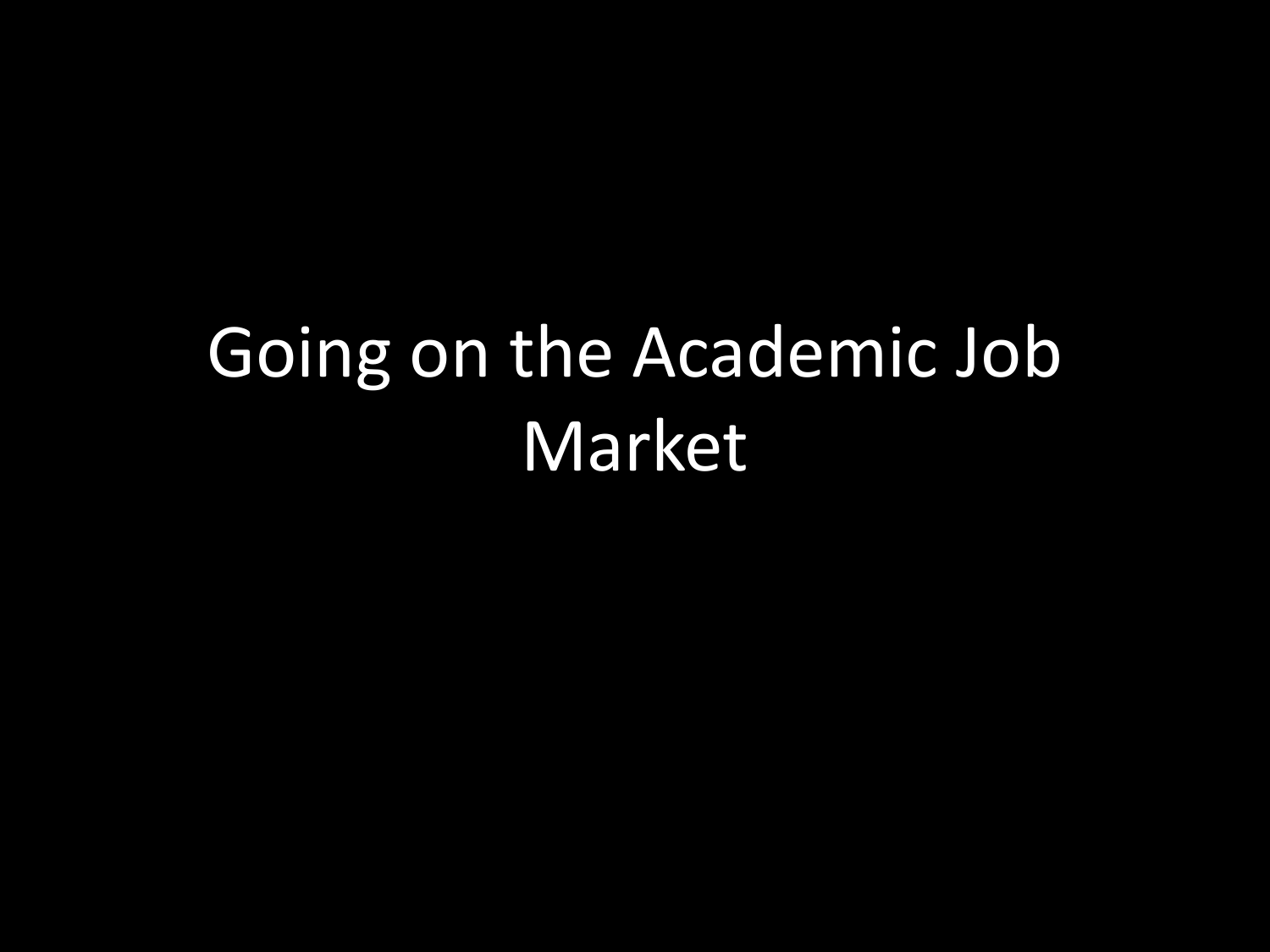# Going on the Academic Job Market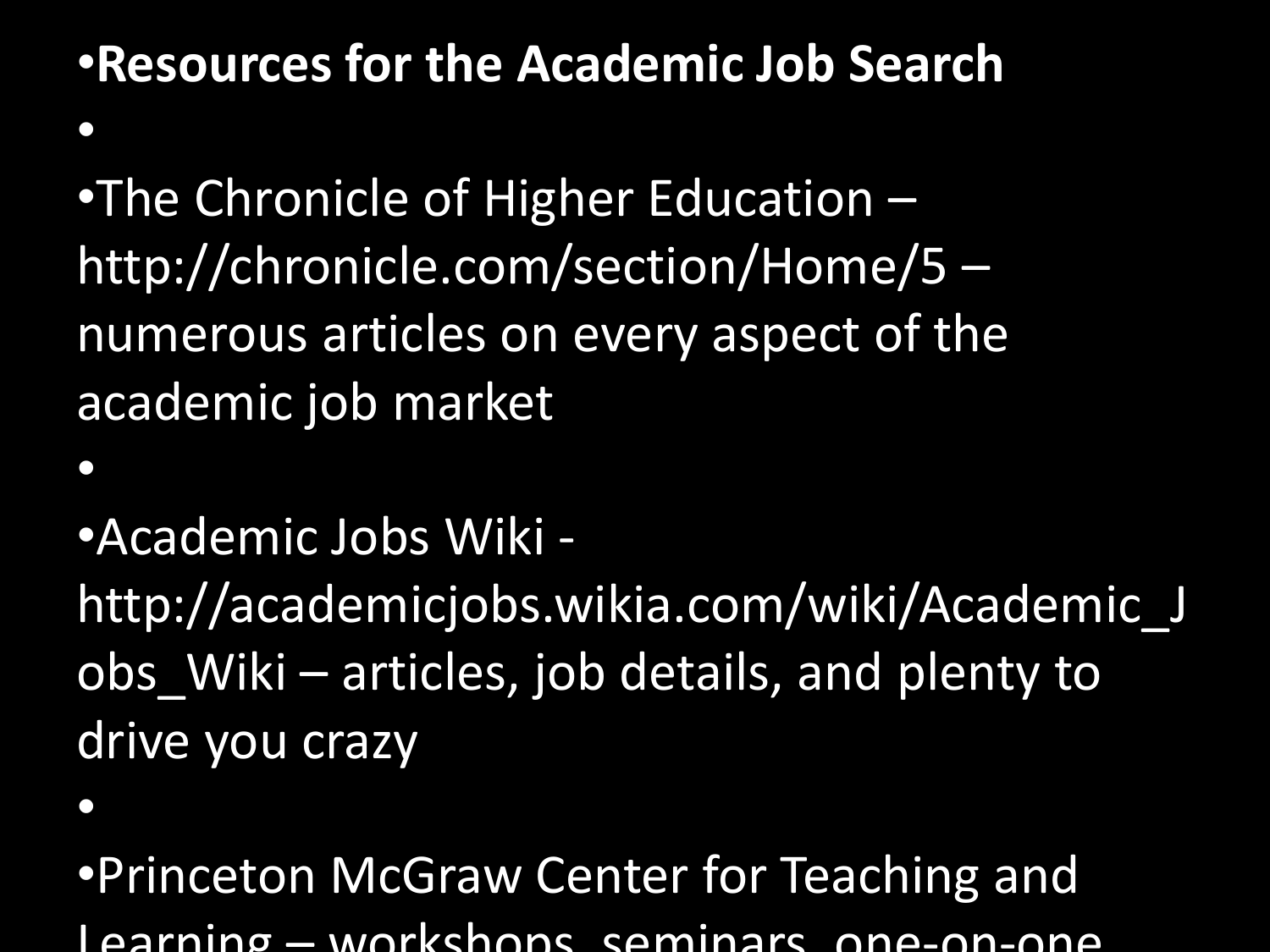#### •**Resources for the Academic Job Search**  $\bullet$

•The Chronicle of Higher Education – http://chronicle.com/section/Home/5 – numerous articles on every aspect of the academic job market

•Academic Jobs Wiki -

http://academicjobs.wikia.com/wiki/Academic\_J obs\_Wiki – articles, job details, and plenty to drive you crazy

 $\bullet$ 

 $\bullet$ 

•Princeton McGraw Center for Teaching and Learning – workshops seminars one-on-one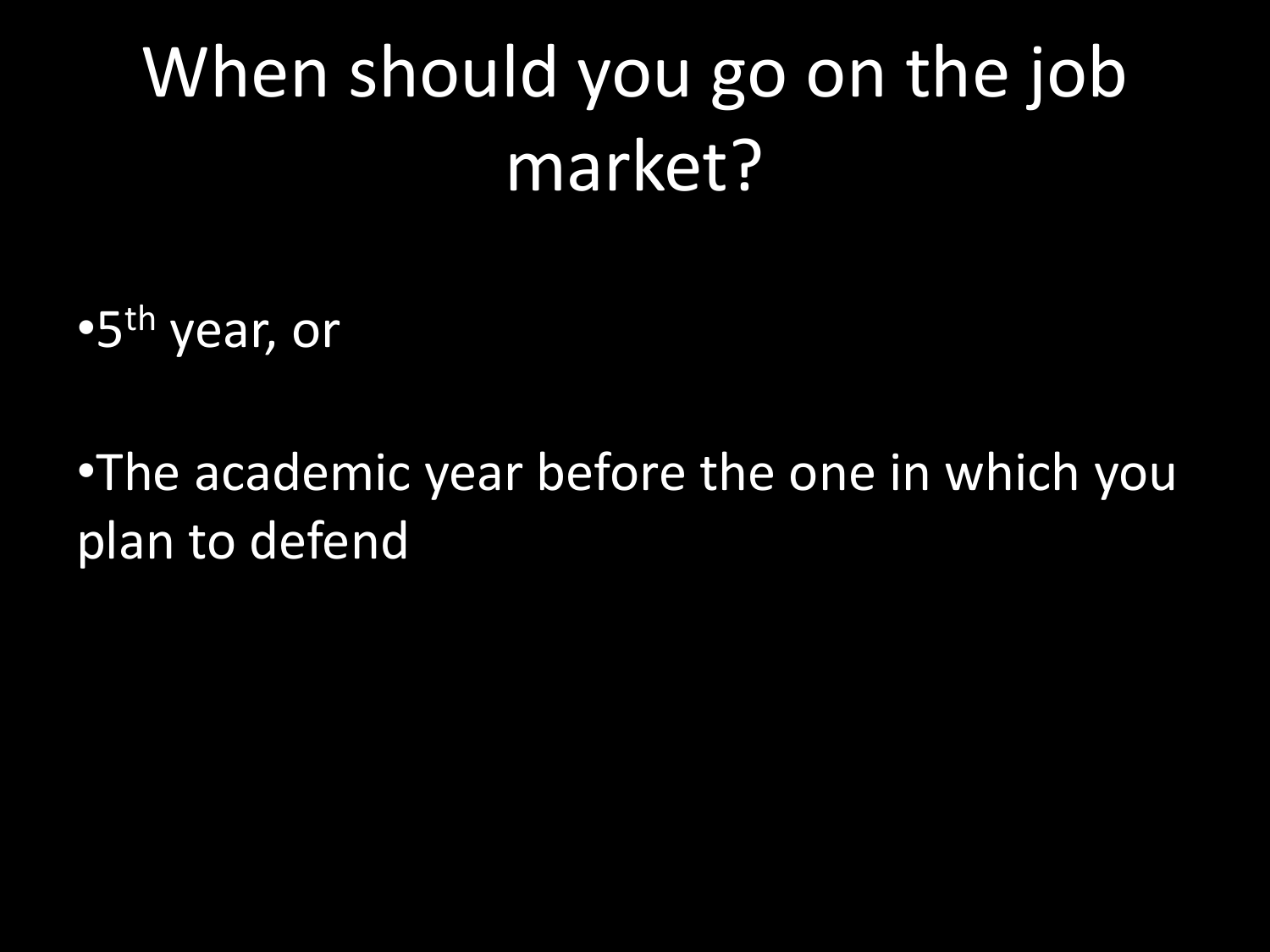# When should you go on the job market?

•5th year, or

•The academic year before the one in which you plan to defend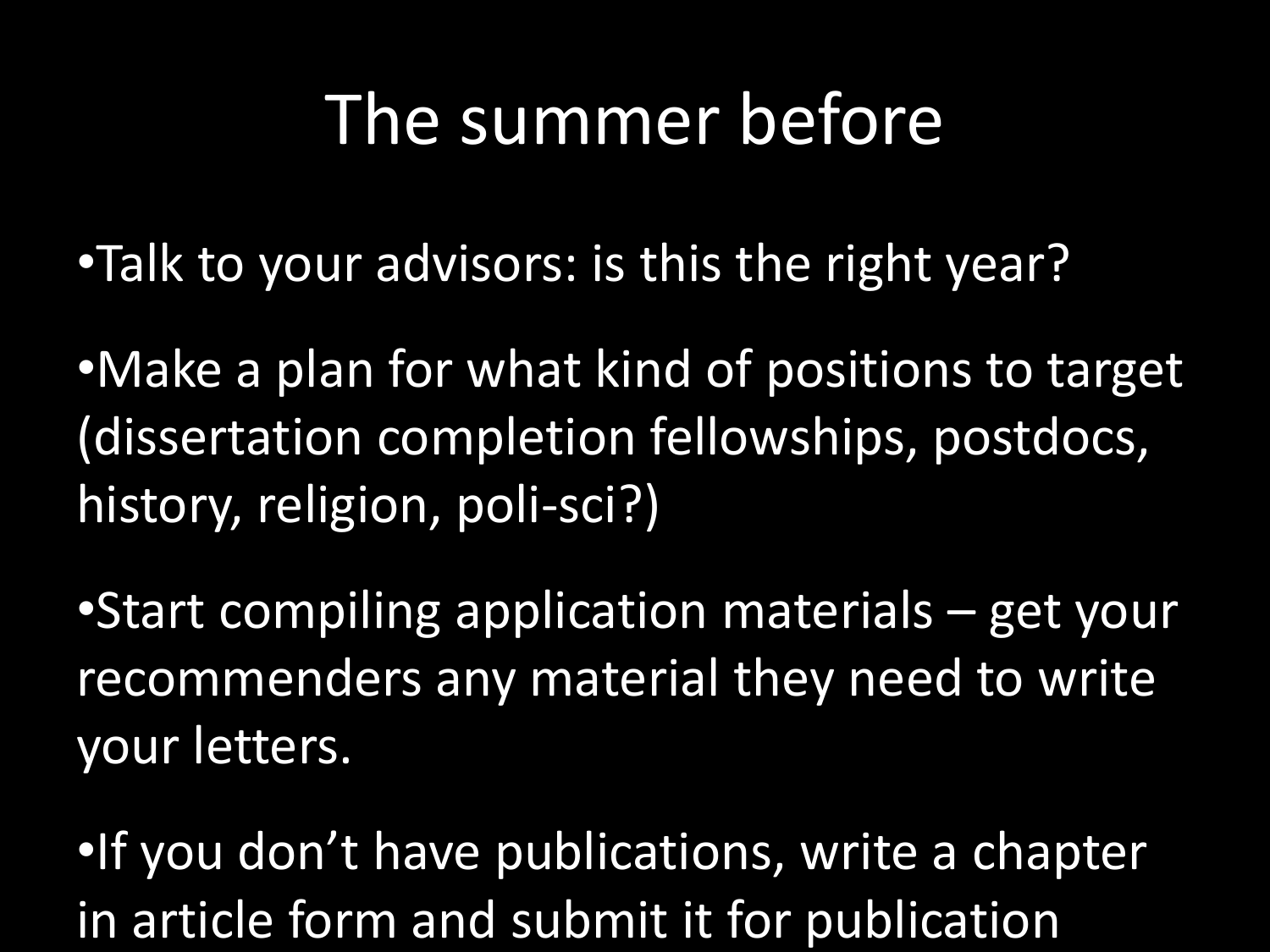## The summer before

- •Talk to your advisors: is this the right year?
- •Make a plan for what kind of positions to target (dissertation completion fellowships, postdocs, history, religion, poli-sci?)
- •Start compiling application materials get your recommenders any material they need to write your letters.
- •If you don't have publications, write a chapter in article form and submit it for publication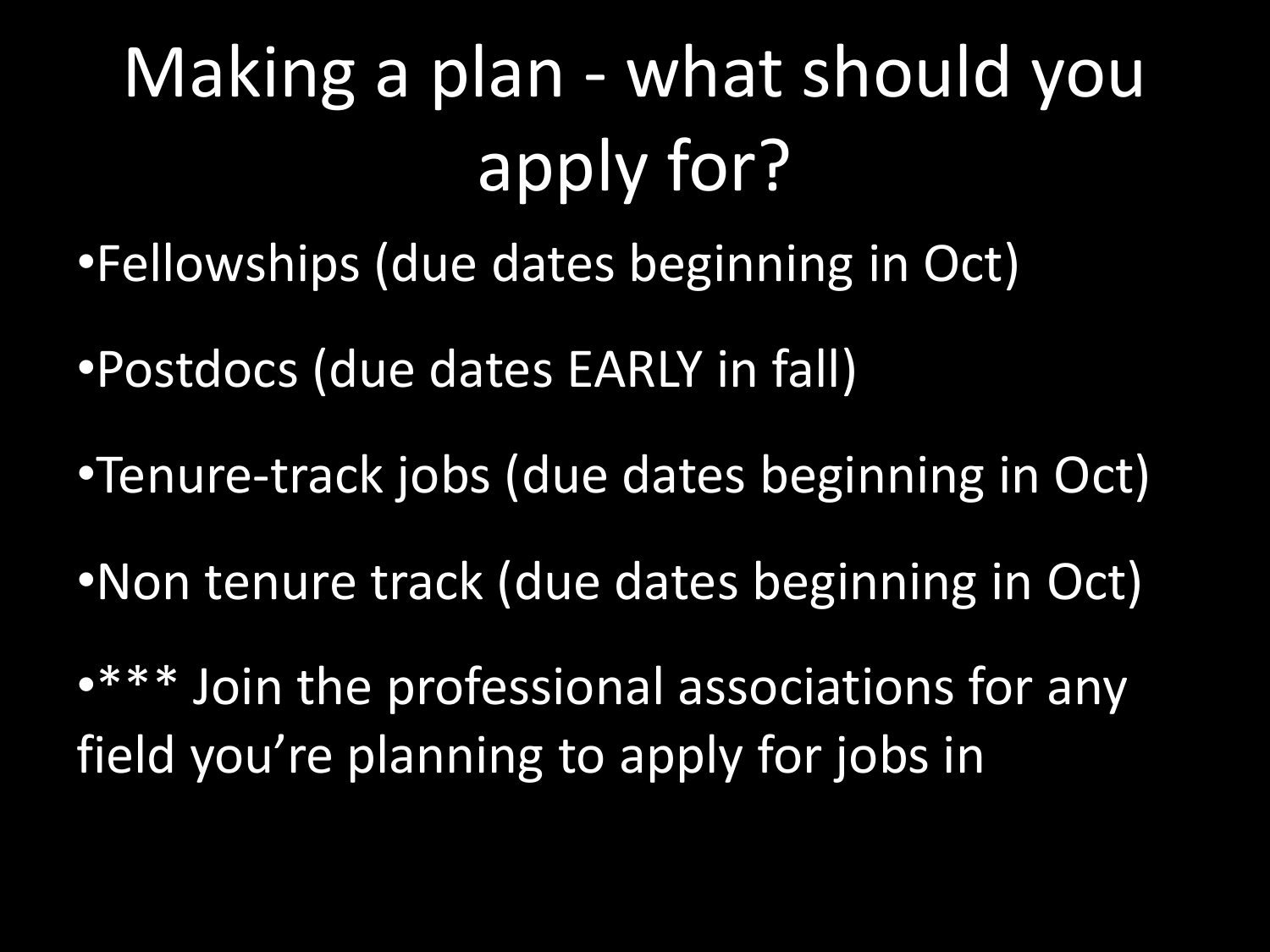# Making a plan - what should you apply for?

- •Fellowships (due dates beginning in Oct)
- •Postdocs (due dates EARLY in fall)
- •Tenure-track jobs (due dates beginning in Oct)
- •Non tenure track (due dates beginning in Oct)

•\*\*\* Join the professional associations for any field you're planning to apply for jobs in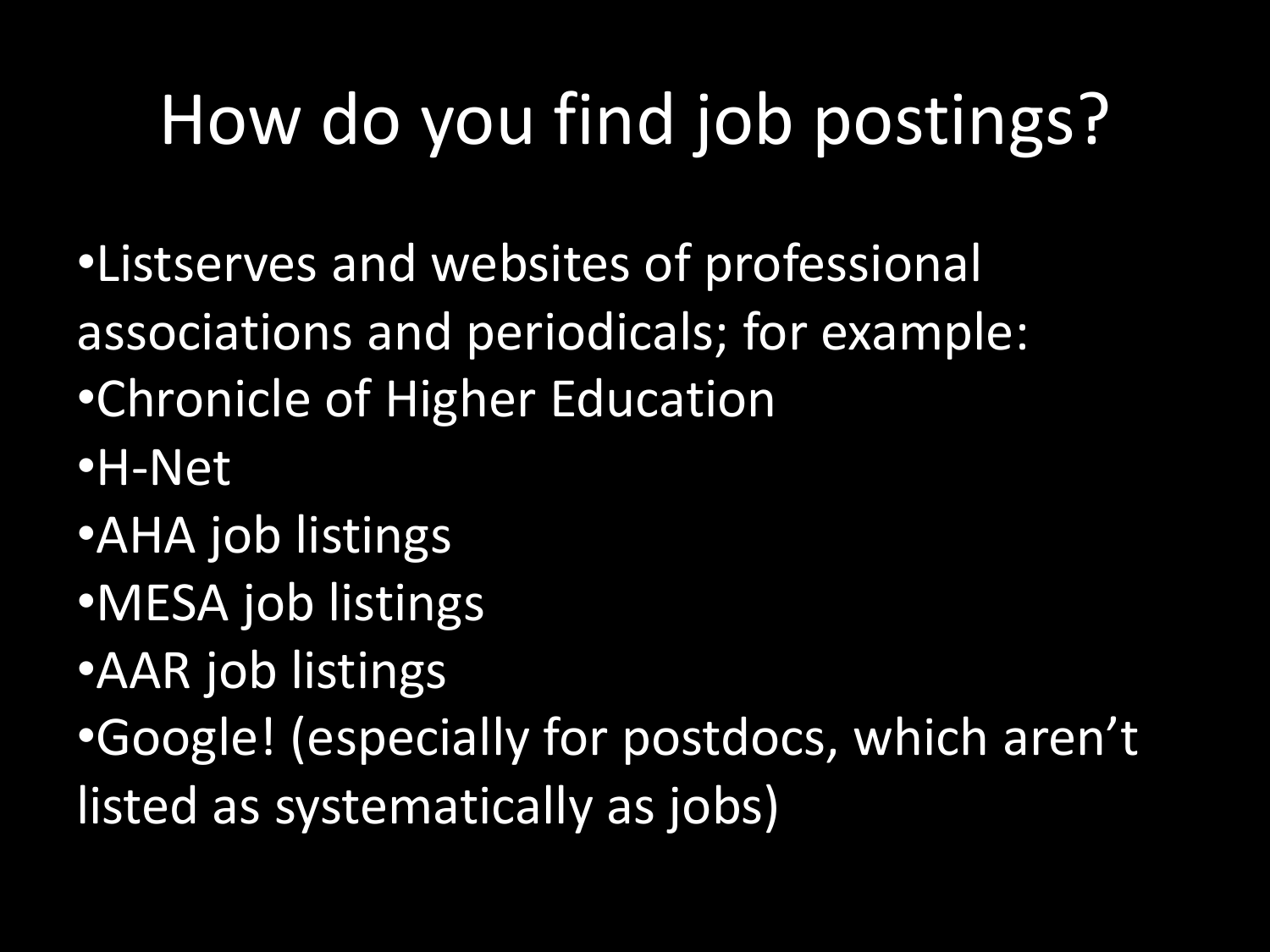# How do you find job postings?

- •Listserves and websites of professional associations and periodicals; for example:
- •Chronicle of Higher Education
- •H-Net
- •AHA job listings
- •MESA job listings
- •AAR job listings
- •Google! (especially for postdocs, which aren't listed as systematically as jobs)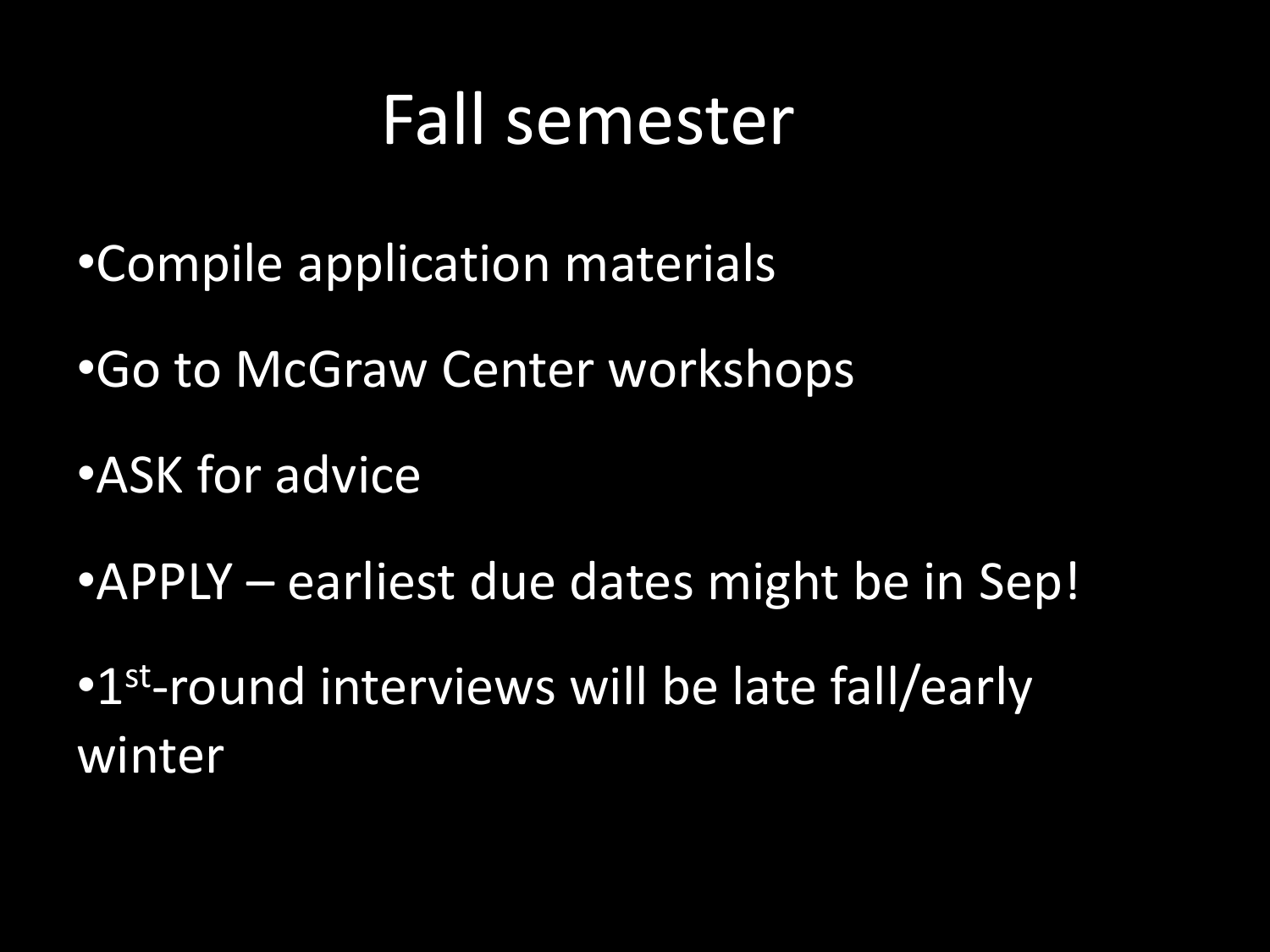#### Fall semester

- •Compile application materials
- •Go to McGraw Center workshops
- •ASK for advice
- •APPLY earliest due dates might be in Sep!
- •1<sup>st</sup>-round interviews will be late fall/early winter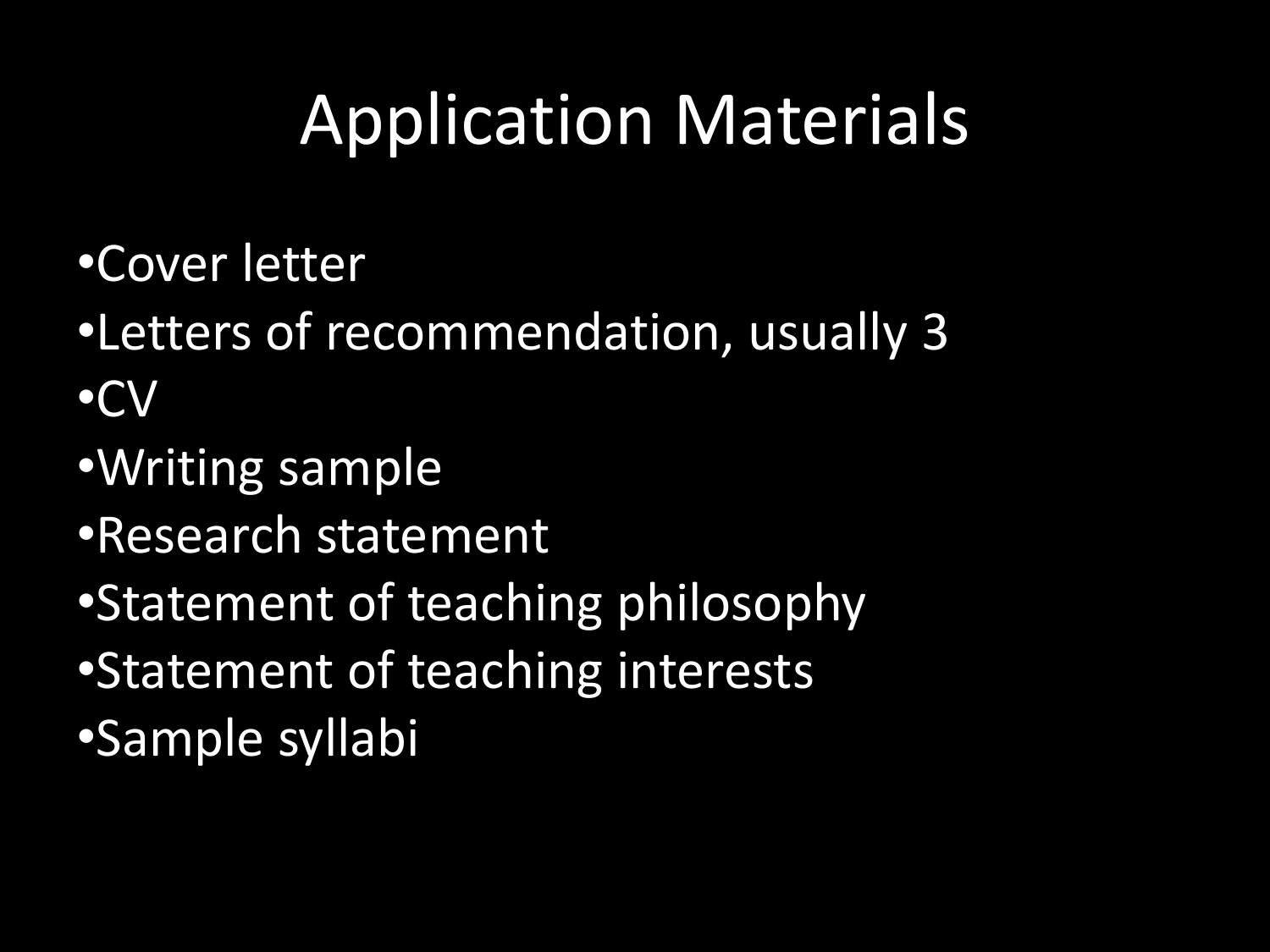## Application Materials

- •Cover letter
- •Letters of recommendation, usually 3
- •CV
- •Writing sample
- •Research statement
- •Statement of teaching philosophy
- •Statement of teaching interests
- •Sample syllabi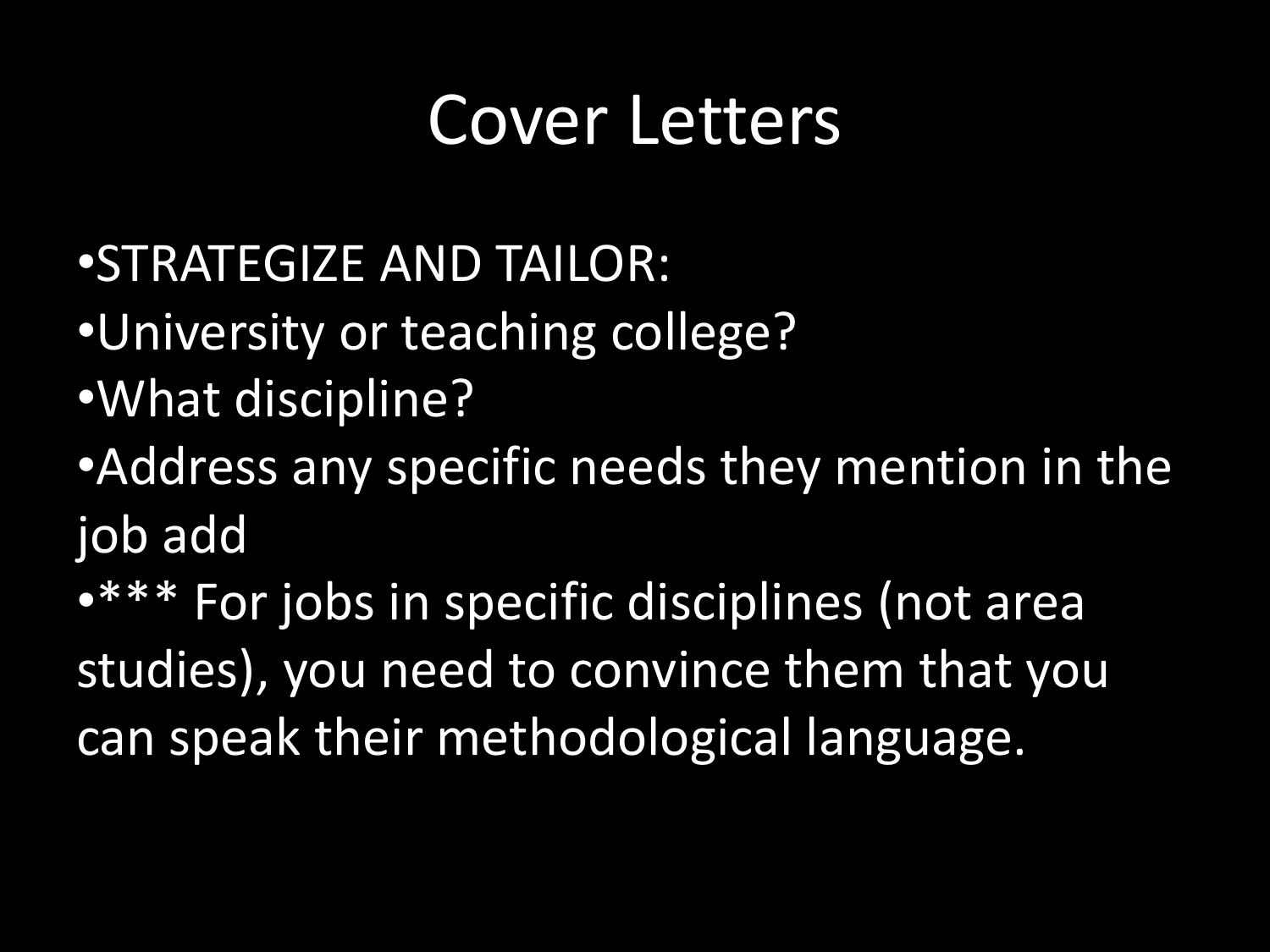#### Cover Letters

•STRATEGIZE AND TAILOR:

- •University or teaching college?
- •What discipline?

•Address any specific needs they mention in the job add

•\*\*\* For jobs in specific disciplines (not area studies), you need to convince them that you can speak their methodological language.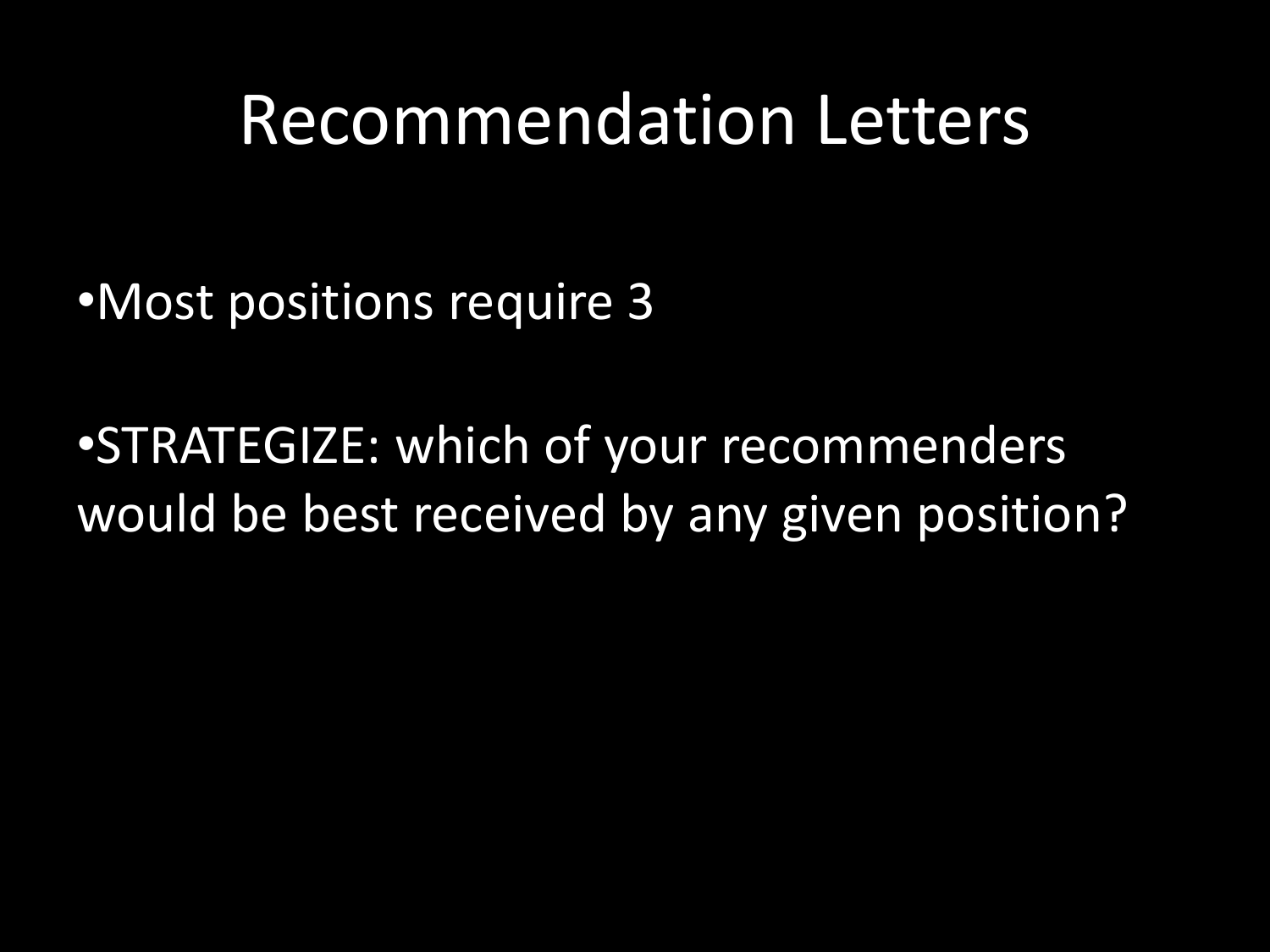#### Recommendation Letters

•Most positions require 3

•STRATEGIZE: which of your recommenders would be best received by any given position?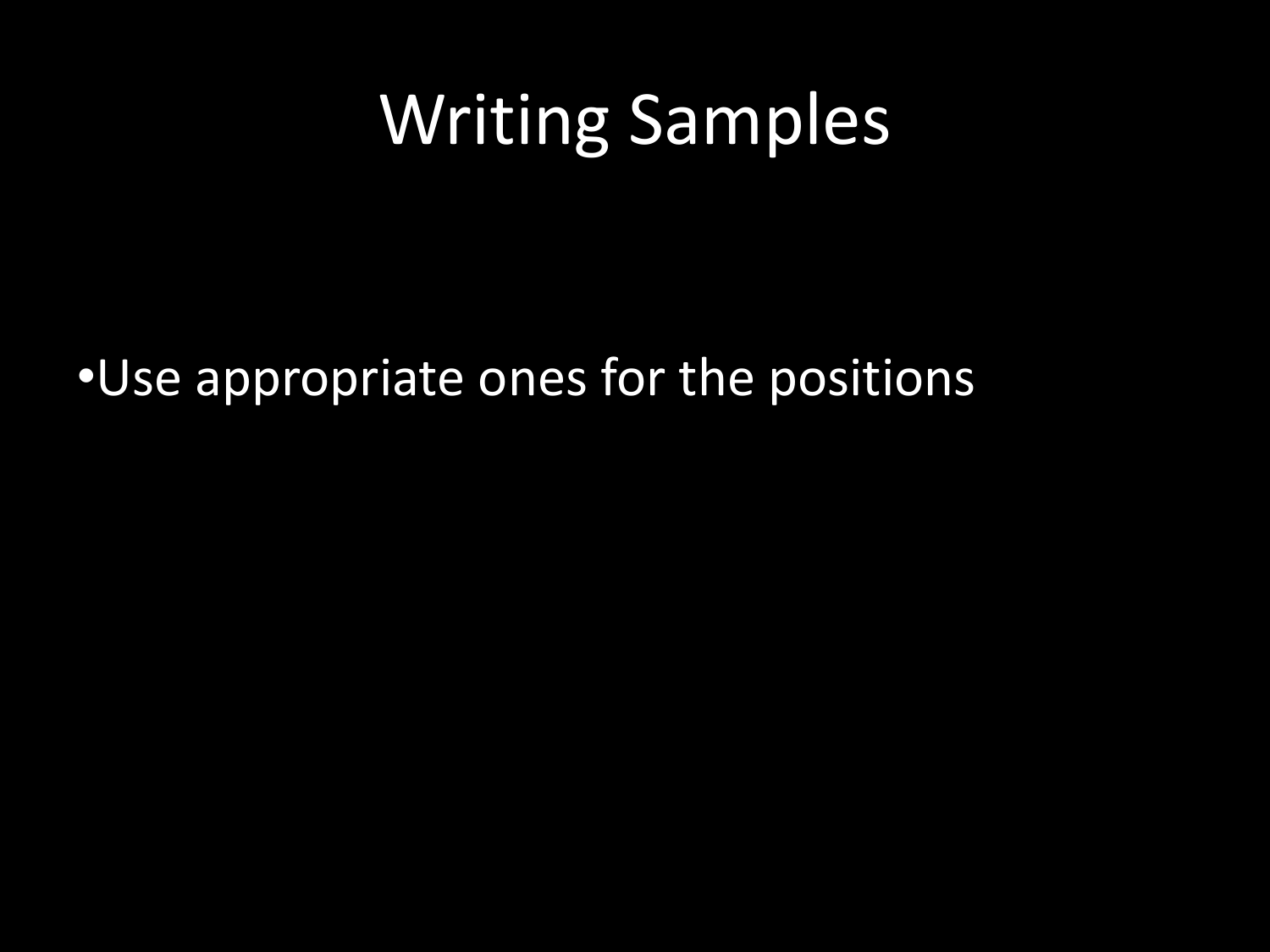## Writing Samples

•Use appropriate ones for the positions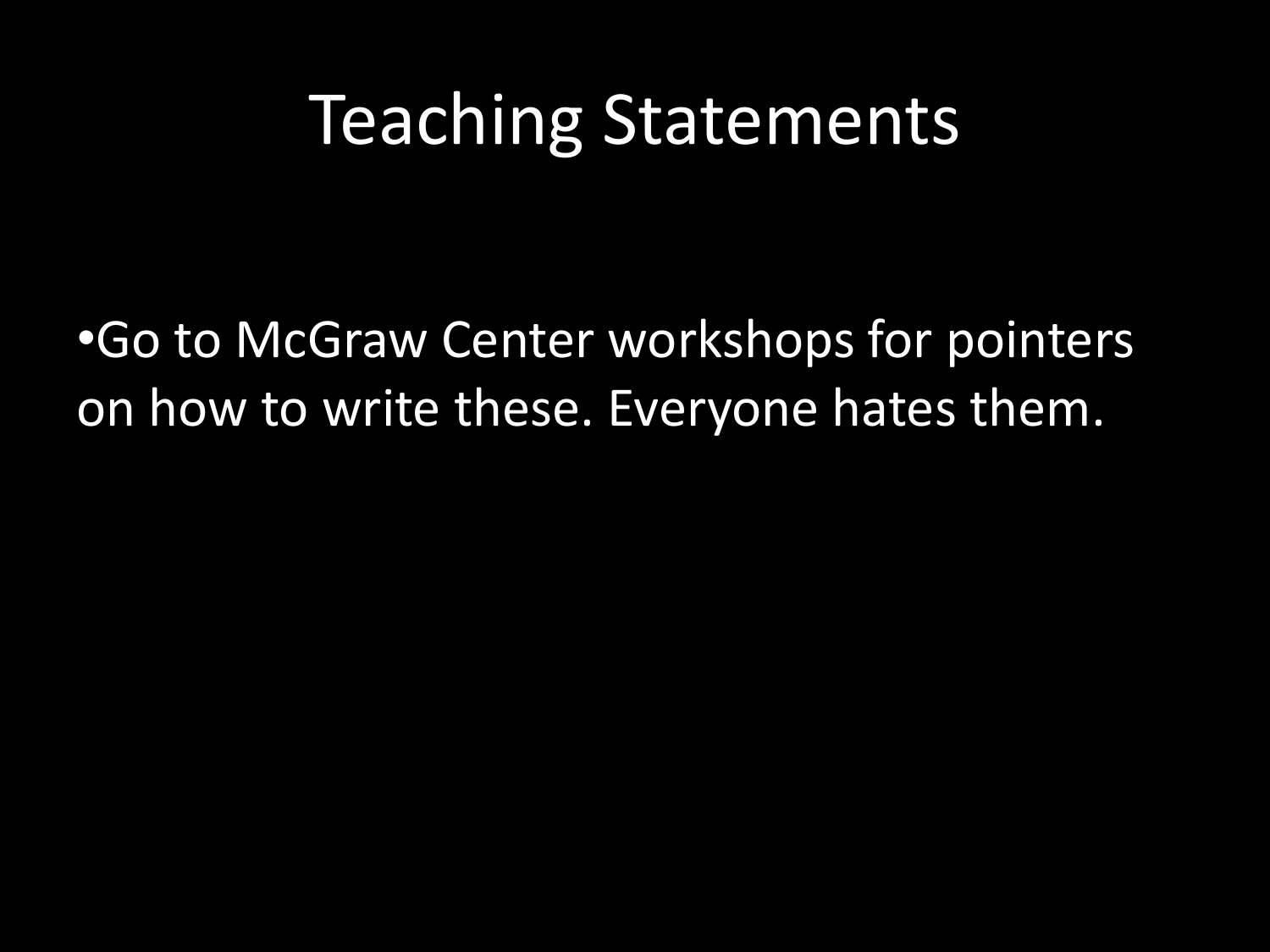#### Teaching Statements

•Go to McGraw Center workshops for pointers on how to write these. Everyone hates them.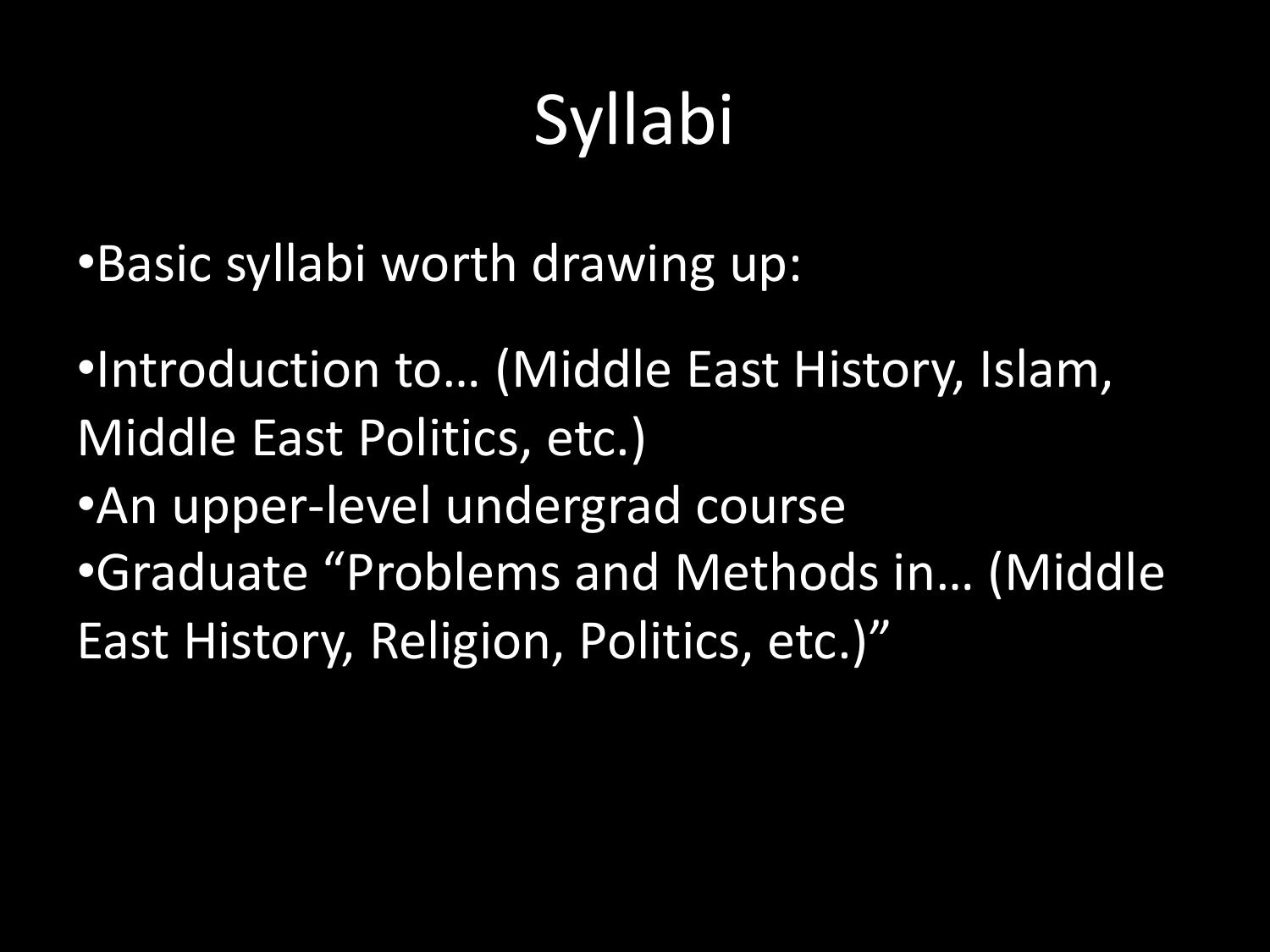# Syllabi

- •Basic syllabi worth drawing up:
- •Introduction to… (Middle East History, Islam, Middle East Politics, etc.)
- •An upper-level undergrad course •Graduate "Problems and Methods in… (Middle East History, Religion, Politics, etc.)"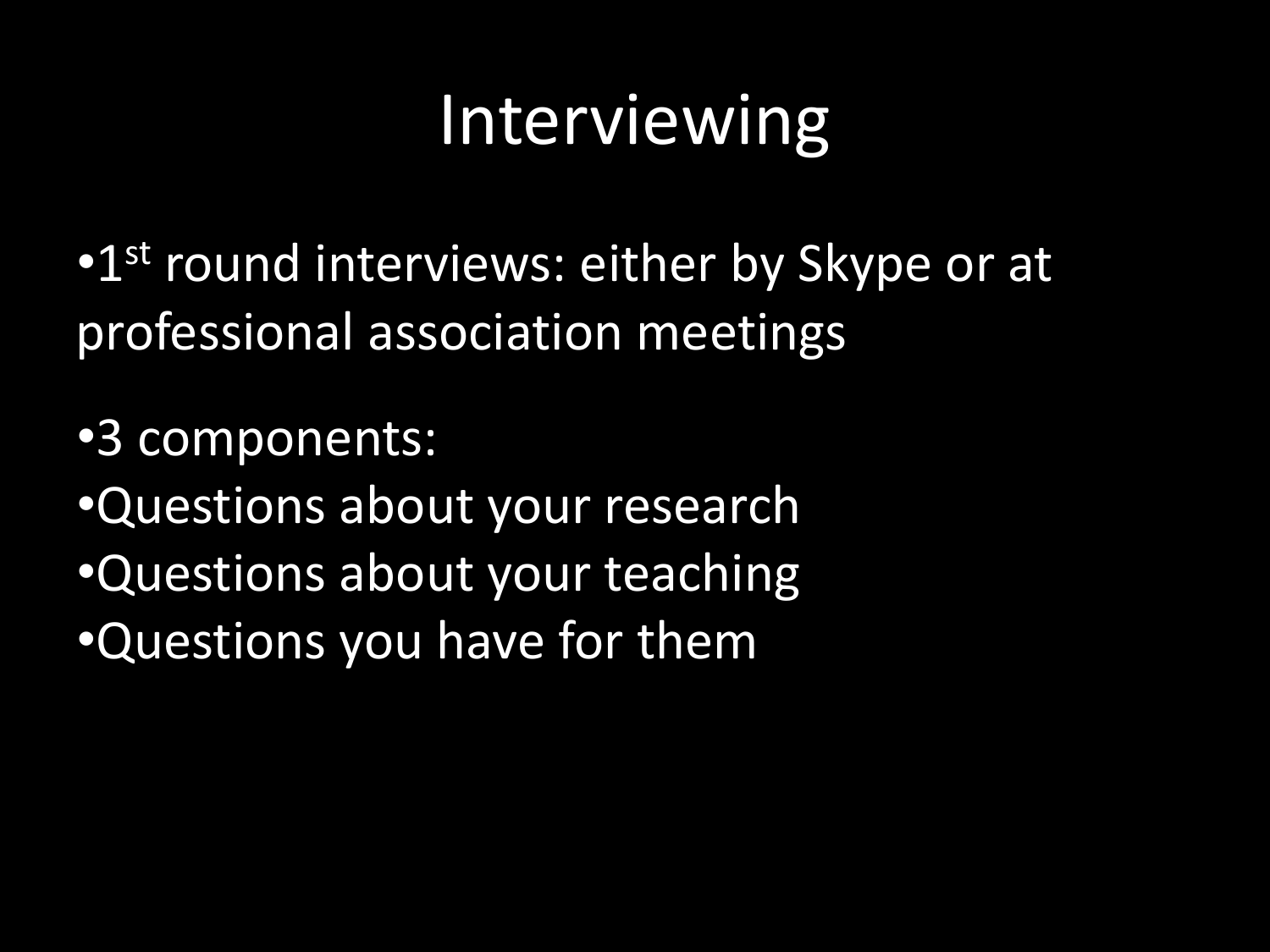## Interviewing

•1<sup>st</sup> round interviews: either by Skype or at professional association meetings

•3 components:

- •Questions about your research
- •Questions about your teaching
- •Questions you have for them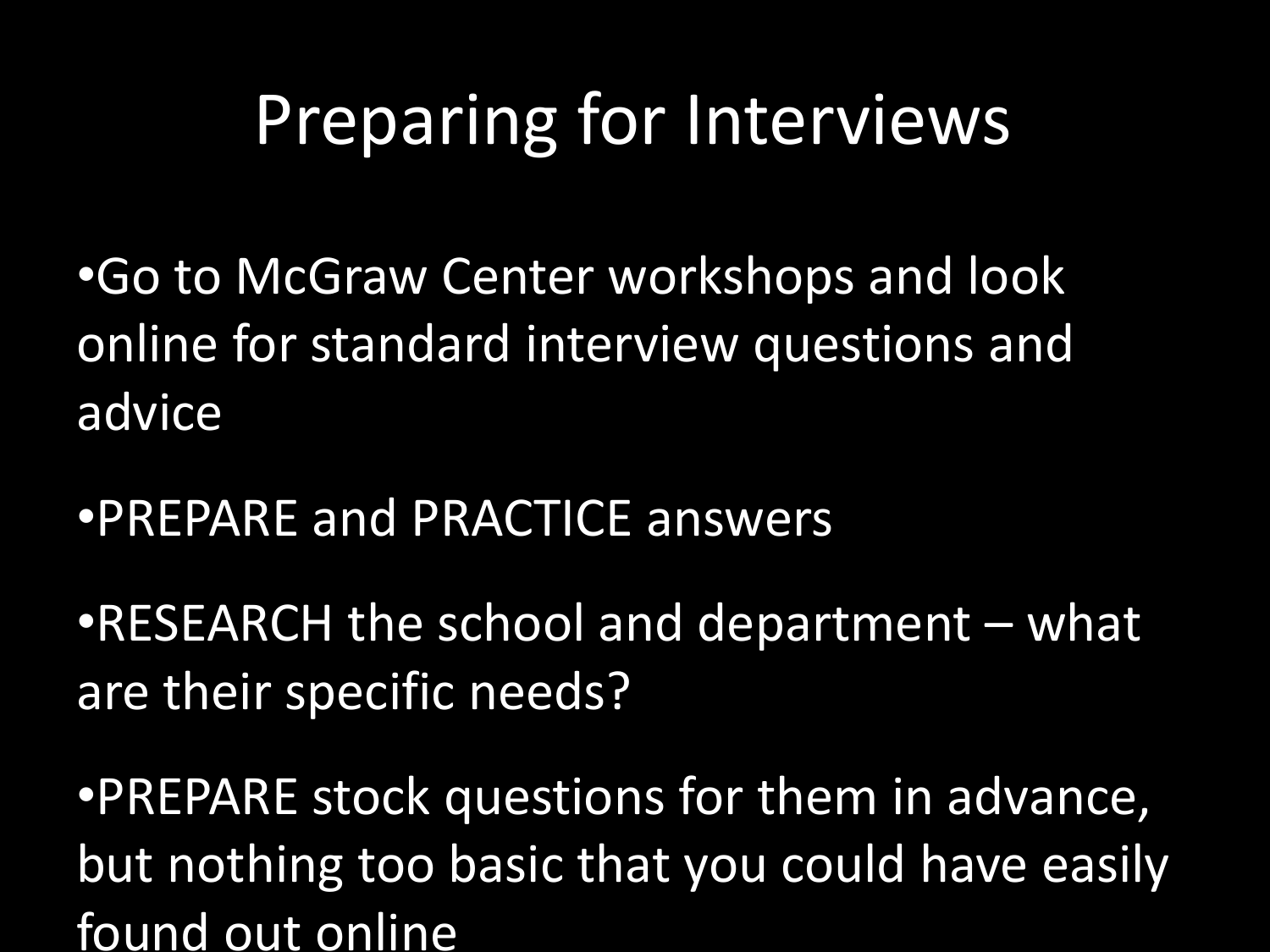## Preparing for Interviews

•Go to McGraw Center workshops and look online for standard interview questions and advice

•PREPARE and PRACTICE answers

•RESEARCH the school and department – what are their specific needs?

•PREPARE stock questions for them in advance, but nothing too basic that you could have easily found out online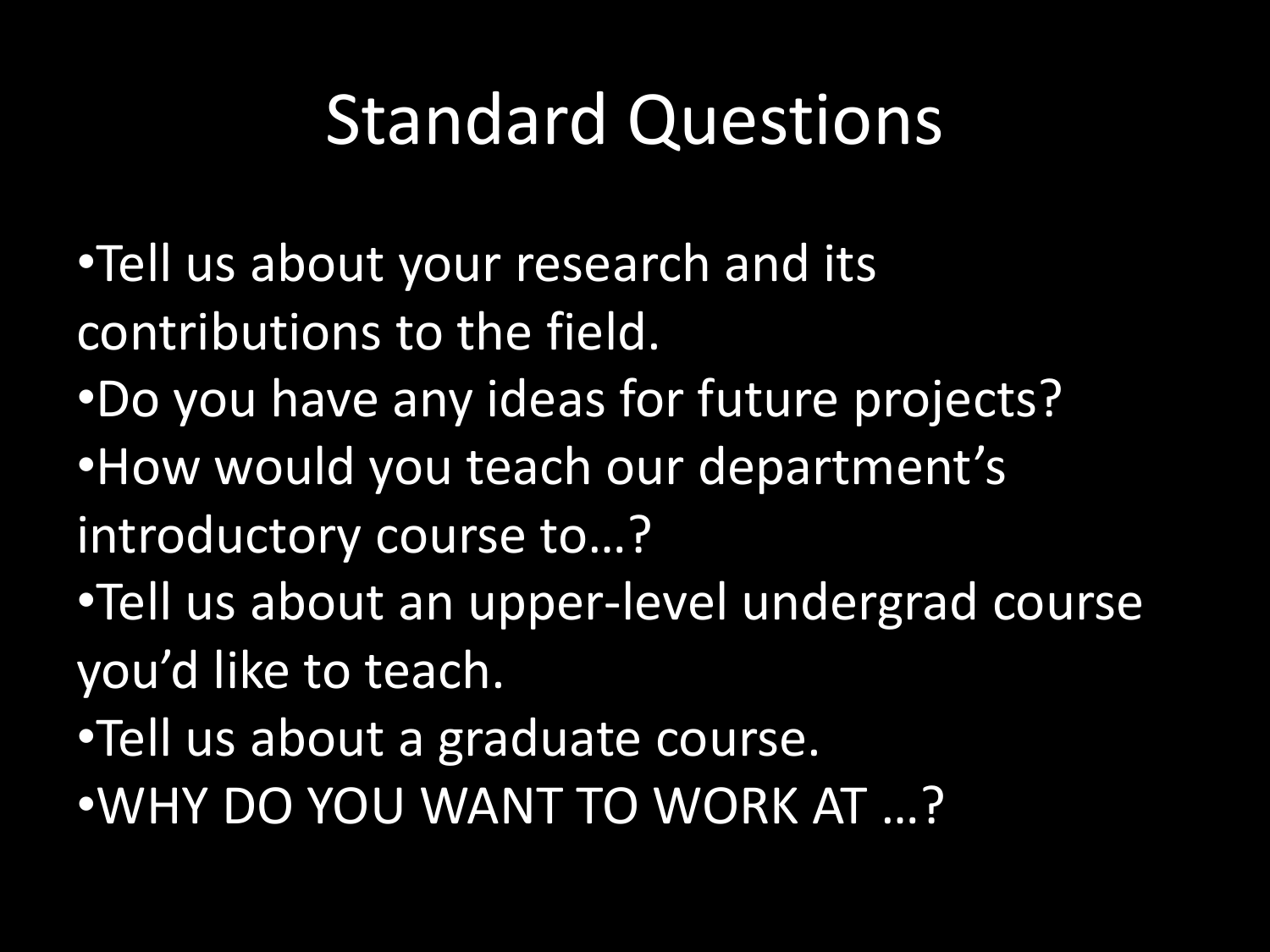## Standard Questions

- •Tell us about your research and its contributions to the field.
- •Do you have any ideas for future projects? •How would you teach our department's
- introductory course to…?
- •Tell us about an upper-level undergrad course you'd like to teach.
- •Tell us about a graduate course.
- •WHY DO YOU WANT TO WORK AT …?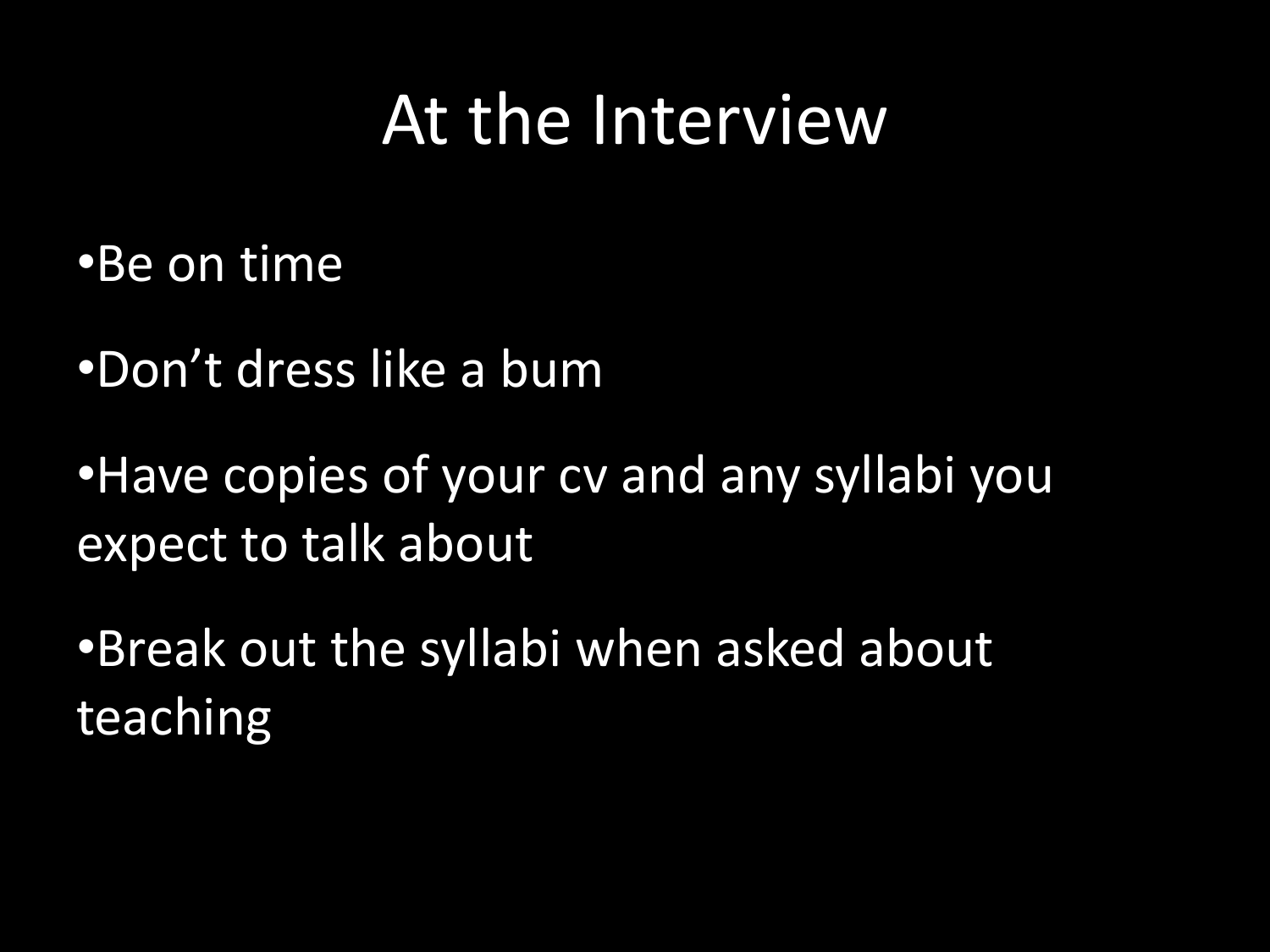#### At the Interview

•Be on time

•Don't dress like a bum

•Have copies of your cv and any syllabi you expect to talk about

•Break out the syllabi when asked about teaching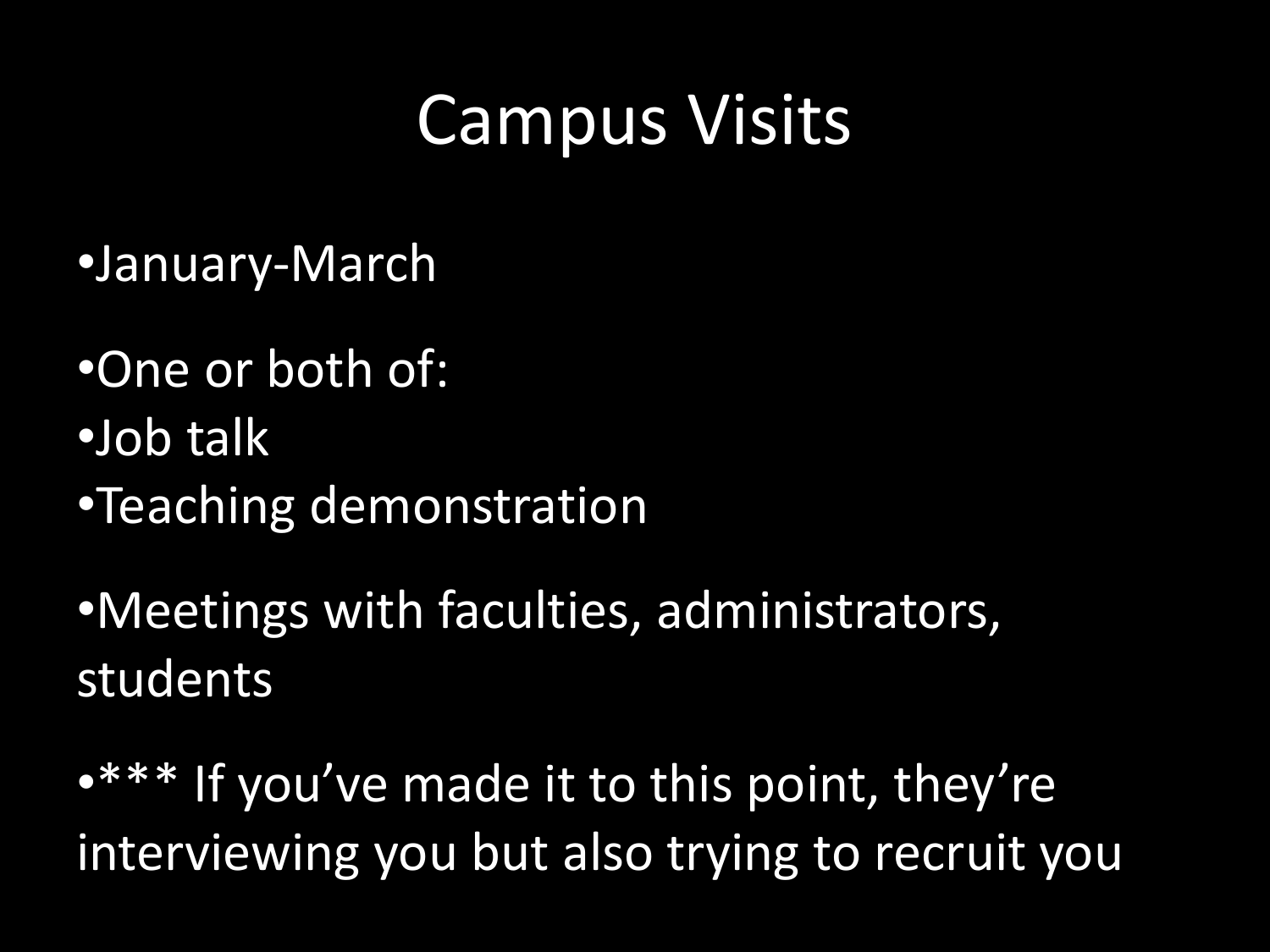## Campus Visits

- •January-March
- •One or both of:
- •Job talk
- •Teaching demonstration
- •Meetings with faculties, administrators, students
- •\*\*\* If you've made it to this point, they're interviewing you but also trying to recruit you